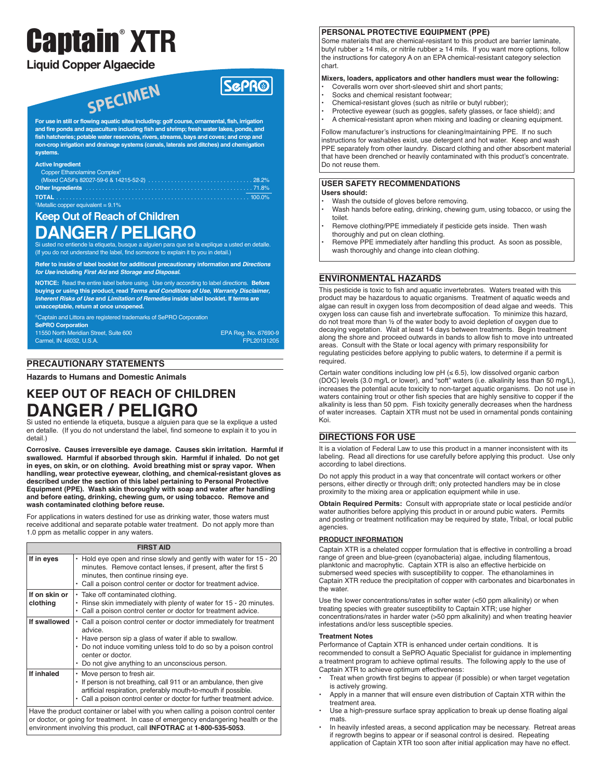# Captain ® **XTR**

# **Liquid Copper Algaecide**

SPECIMEN

**SCPR®** 

**For use in still or flowing aquatic sites including: golf course, ornamental, fish, irrigation and fire ponds and aquaculture including fish and shrimp; fresh water lakes, ponds, and fish hatcheries; potable water reservoirs,rivers, streams, bays and coves; and crop and non-crop irrigation and drainage systems (canals, laterals and ditches) and chemigation systems.**

#### **Active Ingredient**

| Copper Ethanolamine Complex <sup>t</sup> ,        |  |
|---------------------------------------------------|--|
|                                                   |  |
|                                                   |  |
|                                                   |  |
| <sup>†</sup> Metallic copper equivalent = $9.1\%$ |  |

# **Keep Out of Reach of Children DANGER / PELIGRO**

Si usted no entiende la etiqueta, busque a alguien para que se la explique a usted en detalle. (If you do not understand the label, find someone to explain it to you in detail.)

**Refer to inside of label booklet for additional precautionary information and Directions for Use including First Aid and Storage and Disposal.**

**NOTICE:** Read the entire label before using. Use only according to label directions. **Before buying or using this product, read Terms and Conditions of Use, Warranty Disclaimer, Inherent Risks of Use and Limitation of Remedies inside label booklet. If terms are unacceptable, return at once unopened.**

Captain and Littora are registered trademarks of SePRO Corporation **SePRO Corporation**

11550 North Meridian Street, Suite 600 Carmel, IN 46032, U.S.A.

EPA Reg. No. 67690-9 FPL20131205

# **PRECAUTIONARY STATEMENTS**

**Hazards to Humans and Domestic Animals**

# **KEEP OUT OF REACH OF CHILDREN DANGER / PELIGRO**

Si usted no entiende la etiqueta, busque a alguien para que se la explique a usted en detalle. (If you do not understand the label, find someone to explain it to you in detail.)

**Corrosive. Causes irreversible eye damage. Causes skin irritation. Harmful if swallowed. Harmful if absorbed through skin. Harmful if inhaled. Do not get in eyes, on skin, or on clothing. Avoid breathing mist or spray vapor. When handling, wear protective eyewear, clothing, and chemical-resistant gloves as described under the section of this label pertaining to Personal Protective Equipment (PPE). Wash skin thoroughly with soap and water after handling and before eating, drinking, chewing gum, or using tobacco. Remove and wash contaminated clothing before reuse.**

For applications in waters destined for use as drinking water, those waters must receive additional and separate potable water treatment. Do not apply more than 1.0 ppm as metallic copper in any waters.

| <b>FIRST AID</b>          |                                                                                                                                                                                                                                                                                   |  |  |  |
|---------------------------|-----------------------------------------------------------------------------------------------------------------------------------------------------------------------------------------------------------------------------------------------------------------------------------|--|--|--|
| If in eyes                | Hold eye open and rinse slowly and gently with water for 15 - 20<br>٠<br>minutes. Remove contact lenses, if present, after the first 5<br>minutes, then continue rinsing eye.<br>• Call a poison control center or doctor for treatment advice.                                   |  |  |  |
| If on skin or<br>clothing | • Take off contaminated clothing.<br>Rinse skin immediately with plenty of water for 15 - 20 minutes.<br>Call a poison control center or doctor for treatment advice.                                                                                                             |  |  |  |
| If swallowed              | • Call a poison control center or doctor immediately for treatment<br>advice.<br>Have person sip a glass of water if able to swallow.<br>• Do not induce vomiting unless told to do so by a poison control<br>center or doctor.<br>Do not give anything to an unconscious person. |  |  |  |
| If inhaled                | • Move person to fresh air.<br>• If person is not breathing, call 911 or an ambulance, then give<br>artificial respiration, preferably mouth-to-mouth if possible.<br>• Call a poison control center or doctor for further treatment advice.                                      |  |  |  |
|                           | Have the product container or label with you when calling a poison control center                                                                                                                                                                                                 |  |  |  |

or doctor, or going for treatment. In case of emergency endangering health or the environment involving this product, call **INFOTRAC** at **1-800-535-5053**.

# **PERSONAL PROTECTIVE EQUIPMENT (PPE)**

Some materials that are chemical-resistant to this product are barrier laminate, butyl rubber ≥ 14 mils, or nitrile rubber ≥ 14 mils. If you want more options, follow the instructions for category A on an EPA chemical-resistant category selection chart.

#### **Mixers, loaders, applicators and other handlers must wear the following:**

- Coveralls worn over short-sleeved shirt and short pants;
- Socks and chemical resistant footwear;
- Chemical-resistant gloves (such as nitrile or butyl rubber);
- Protective eyewear (such as goggles, safety glasses, or face shield); and
- A chemical-resistant apron when mixing and loading or cleaning equipment.

Follow manufacturer's instructions for cleaning/maintaining PPE. If no such instructions for washables exist, use detergent and hot water. Keep and wash PPE separately from other laundry. Discard clothing and other absorbent material that have been drenched or heavily contaminated with this product's concentrate. Do not reuse them.

#### **USER SAFETY RECOMMENDATIONS Users should:**

- Wash the outside of gloves before removing.
- Wash hands before eating, drinking, chewing gum, using tobacco, or using the toilet.
- Remove clothing/PPE immediately if pesticide gets inside. Then wash thoroughly and put on clean clothing.
- Remove PPE immediately after handling this product. As soon as possible, wash thoroughly and change into clean clothing.

# **ENVIRONMENTAL HAZARDS**

This pesticide is toxic to fish and aquatic invertebrates. Waters treated with this product may be hazardous to aquatic organisms. Treatment of aquatic weeds and algae can result in oxygen loss from decomposition of dead algae and weeds. This oxygen loss can cause fish and invertebrate suffocation. To minimize this hazard, do not treat more than ½ of the water body to avoid depletion of oxygen due to decaying vegetation. Wait at least 14 days between treatments. Begin treatment along the shore and proceed outwards in bands to allow fish to move into untreated areas. Consult with the State or local agency with primary responsibility for regulating pesticides before applying to public waters, to determine if a permit is required.

Certain water conditions including low  $pH \, (\leq 6.5)$ , low dissolved organic carbon (DOC) levels (3.0 mg/L or lower), and "soft" waters (i.e. alkalinity less than 50 mg/L), increases the potential acute toxicity to non-target aquatic organisms. Do not use in waters containing trout or other fish species that are highly sensitive to copper if the alkalinity is less than 50 ppm. Fish toxicity generally decreases when the hardness of water increases. Captain XTR must not be used in ornamental ponds containing Koi.

# **DIRECTIONS FOR USE**

It is a violation of Federal Law to use this product in a manner inconsistent with its labeling. Read all directions for use carefully before applying this product. Use only according to label directions.

Do not apply this product in a way that concentrate will contact workers or other persons, either directly or through drift; only protected handlers may be in close proximity to the mixing area or application equipment while in use.

**Obtain Required Permits:** Consult with appropriate state or local pesticide and/or water authorities before applying this product in or around pubic waters. Permits and posting or treatment notification may be required by state, Tribal, or local public agencies.

# **PRODUCT INFORMATION**

Captain XTR is a chelated copper formulation that is effective in controlling a broad range of green and blue-green (cyanobacteria) algae, including filamentous, planktonic and macrophytic. Captain XTR is also an effective herbicide on submersed weed species with susceptibility to copper. The ethanolamines in Captain XTR reduce the precipitation of copper with carbonates and bicarbonates in the water.

Use the lower concentrations/rates in softer water (<50 ppm alkalinity) or when treating species with greater susceptibility to Captain XTR; use higher concentrations/rates in harder water (>50 ppm alkalinity) and when treating heavier infestations and/or less susceptible species.

#### **Treatment Notes**

Performance of Captain XTR is enhanced under certain conditions. It is recommended to consult a SePRO Aquatic Specialist for guidance in implementing a treatment program to achieve optimal results. The following apply to the use of Captain XTR to achieve optimum effectiveness:

- Treat when growth first begins to appear (if possible) or when target vegetation is actively growing.
- Apply in a manner that will ensure even distribution of Captain XTR within the treatment area.
- Use a high-pressure surface spray application to break up dense floating algal mats.
- In heavily infested areas, a second application may be necessary. Retreat areas if regrowth begins to appear or if seasonal control is desired. Repeating application of Captain XTR too soon after initial application may have no effect.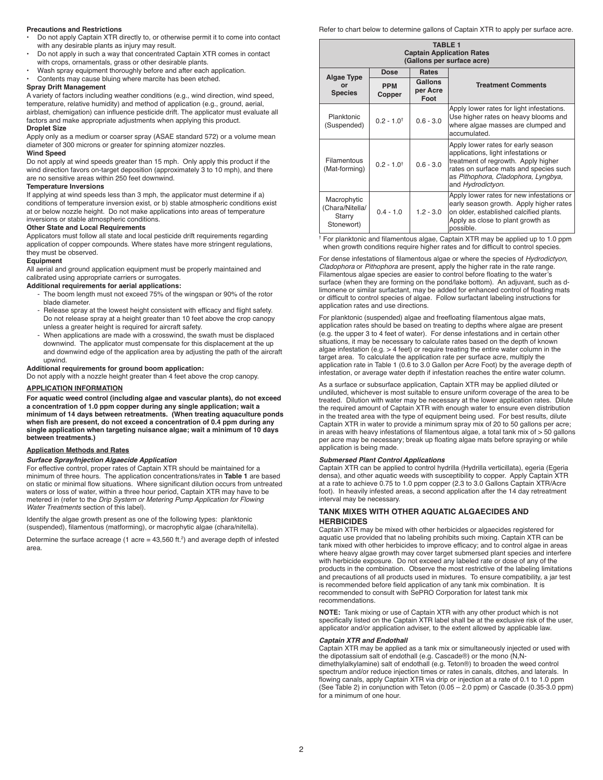#### **Precautions and Restrictions**

- Do not apply Captain XTR directly to, or otherwise permit it to come into contact with any desirable plants as injury may result.
- Do not apply in such a way that concentrated Captain XTR comes in contact with crops, ornamentals, grass or other desirable plants.
- Wash spray equipment thoroughly before and after each application.
- Contents may cause bluing where marcite has been etched.

# **Spray Drift Management**

A variety of factors including weather conditions (e.g., wind direction, wind speed, temperature, relative humidity) and method of application (e.g., ground, aerial, airblast, chemigation) can influence pesticide drift. The applicator must evaluate all factors and make appropriate adjustments when applying this product. **Droplet Size**

#### Apply only as a medium or coarser spray (ASAE standard 572) or a volume mean diameter of 300 microns or greater for spinning atomizer nozzles.

**Wind Speed**

Do not apply at wind speeds greater than 15 mph. Only apply this product if the wind direction favors on-target deposition (approximately 3 to 10 mph), and there are no sensitive areas within 250 feet downwind.

#### **Temperature Inversions**

If applying at wind speeds less than 3 mph, the applicator must determine if a) conditions of temperature inversion exist, or b) stable atmospheric conditions exist at or below nozzle height. Do not make applications into areas of temperature inversions or stable atmospheric conditions.

#### **Other State and Local Requirements**

Applicators must follow all state and local pesticide drift requirements regarding application of copper compounds. Where states have more stringent regulations, they must be observed.

#### **Equipment**

All aerial and ground application equipment must be properly maintained and calibrated using appropriate carriers or surrogates.

# **Additional requirements for aerial applications:**

- The boom length must not exceed 75% of the wingspan or 90% of the rotor blade diameter.
- Release spray at the lowest height consistent with efficacy and flight safety. Do not release spray at a height greater than 10 feet above the crop canopy unless a greater height is required for aircraft safety.
- When applications are made with a crosswind, the swath must be displaced downwind. The applicator must compensate for this displacement at the up and downwind edge of the application area by adjusting the path of the aircraft upwind.

#### **Additional requirements for ground boom application:**

Do not apply with a nozzle height greater than 4 feet above the crop canopy.

# **APPLICATION INFORMATION**

**For aquatic weed control (including algae and vascular plants), do not exceed a concentration of 1.0 ppm copper during any single application; wait a minimum of 14 days between retreatments. (When treating aquaculture ponds when fish are present, do not exceed a concentration of 0.4 ppm during any single application when targeting nuisance algae; wait a minimum of 10 days between treatments.)**

# **Application Methods and Rates**

#### *Surface Spray/Injection Algaecide Application*

For effective control, proper rates of Captain XTR should be maintained for a minimum of three hours. The application concentrations/rates in **Table 1** are based on static or minimal flow situations. Where significant dilution occurs from untreated waters or loss of water, within a three hour period, Captain XTR may have to be metered in (refer to the *Drip System or Metering Pump Application for Flowing Water Treatments* section of this label).

Identify the algae growth present as one of the following types: planktonic (suspended), filamentous (matforming), or macrophytic algae (chara/nitella).

Determine the surface acreage (1 acre = 43,560 ft. 2) and average depth of infested area.

Refer to chart below to determine gallons of Captain XTR to apply per surface acre.

| <b>TABLE 1</b><br><b>Captain Application Rates</b><br>(Gallons per surface acre) |                          |                                    |                                                                                                                                                                                                                        |  |  |
|----------------------------------------------------------------------------------|--------------------------|------------------------------------|------------------------------------------------------------------------------------------------------------------------------------------------------------------------------------------------------------------------|--|--|
| <b>Algae Type</b><br>or<br><b>Species</b>                                        | <b>Dose</b>              | <b>Rates</b>                       |                                                                                                                                                                                                                        |  |  |
|                                                                                  | <b>PPM</b><br>Copper     | <b>Gallons</b><br>per Acre<br>Foot | <b>Treatment Comments</b>                                                                                                                                                                                              |  |  |
| Planktonic<br>(Suspended)                                                        | $0.2 - 1.0$ <sup>t</sup> | $0.6 - 3.0$                        | Apply lower rates for light infestations.<br>Use higher rates on heavy blooms and<br>where algae masses are clumped and<br>accumulated.                                                                                |  |  |
| Filamentous<br>(Mat-forming)                                                     | $0.2 - 1.0$ <sup>t</sup> | $0.6 - 3.0$                        | Apply lower rates for early season<br>applications, light infestations or<br>treatment of regrowth. Apply higher<br>rates on surface mats and species such<br>as Pithophora, Cladophora, Lyngbya,<br>and Hydrodictyon. |  |  |
| Macrophytic<br>(Chara/Nitella/<br>Starry<br>Stonewort)                           | $0.4 - 1.0$              | $1.2 - 3.0$                        | Apply lower rates for new infestations or<br>early season growth. Apply higher rates<br>on older, established calcified plants.<br>Apply as close to plant growth as<br>possible.                                      |  |  |

† For planktonic and filamentous algae, Captain XTR may be applied up to 1.0 ppm when growth conditions require higher rates and for difficult to control species

For dense infestations of filamentous algae or where the species of *Hydrodictyon*, *Cladophora* or *Pithophora* are present, apply the higher rate in the rate range. Filamentous algae species are easier to control before floating to the water's surface (when they are forming on the pond/lake bottom). An adjuvant, such as dlimonene or similar surfactant, may be added for enhanced control of floating mats or difficult to control species of algae. Follow surfactant labeling instructions for application rates and use directions.

For planktonic (suspended) algae and freefloating filamentous algae mats, application rates should be based on treating to depths where algae are present (e.g. the upper 3 to 4 feet of water). For dense infestations and in certain other situations, it may be necessary to calculate rates based on the depth of known algae infestation (e.g. > 4 feet) or require treating the entire water column in the target area. To calculate the application rate per surface acre, multiply the application rate in Table 1 (0.6 to 3.0 Gallon per Acre Foot) by the average depth of infestation, or average water depth if infestation reaches the entire water column.

As a surface or subsurface application, Captain XTR may be applied diluted or undiluted, whichever is most suitable to ensure uniform coverage of the area to be treated. Dilution with water may be necessary at the lower application rates. Dilute the required amount of Captain XTR with enough water to ensure even distribution in the treated area with the type of equipment being used. For best results, dilute Captain XTR in water to provide a minimum spray mix of 20 to 50 gallons per acre; in areas with heavy infestations of filamentous algae, a total tank mix of > 50 gallons per acre may be necessary; break up floating algae mats before spraying or while application is being made.

#### *Submersed Plant Control Applications*

Captain XTR can be applied to control hydrilla (Hydrilla verticillata), egeria (Egeria densa), and other aquatic weeds with susceptibility to copper. Apply Captain XTR at a rate to achieve 0.75 to 1.0 ppm copper (2.3 to 3.0 Gallons Captain XTR/Acre foot). In heavily infested areas, a second application after the 14 day retreatment interval may be necessary.

#### **TANK MIXES WITH OTHER AQUATIC ALGAECIDES AND HERBICIDES**

Captain XTR may be mixed with other herbicides or algaecides registered for aquatic use provided that no labeling prohibits such mixing. Captain XTR can be tank mixed with other herbicides to improve efficacy; and to control algae in areas where heavy algae growth may cover target submersed plant species and interfere with herbicide exposure. Do not exceed any labeled rate or dose of any of the products in the combination. Observe the most restrictive of the labeling limitations and precautions of all products used in mixtures. To ensure compatibility, a jar test is recommended before field application of any tank mix combination. It is recommended to consult with SePRO Corporation for latest tank mix recommendations.

**NOTE:** Tank mixing or use of Captain XTR with any other product which is not specifically listed on the Captain XTR label shall be at the exclusive risk of the user, applicator and/or application adviser, to the extent allowed by applicable law.

#### *Captain XTR and Endothall*

Captain XTR may be applied as a tank mix or simultaneously injected or used with the dipotassium salt of endothall (e.g. Cascade®) or the mono (N,Ndimethylalkylamine) salt of endothall (e.g. Teton®) to broaden the weed control spectrum and/or reduce injection times or rates in canals, ditches, and laterals. In flowing canals, apply Captain XTR via drip or injection at a rate of 0.1 to 1.0 ppm (See Table 2) in conjunction with Teton (0.05 – 2.0 ppm) or Cascade (0.35-3.0 ppm) for a minimum of one hour.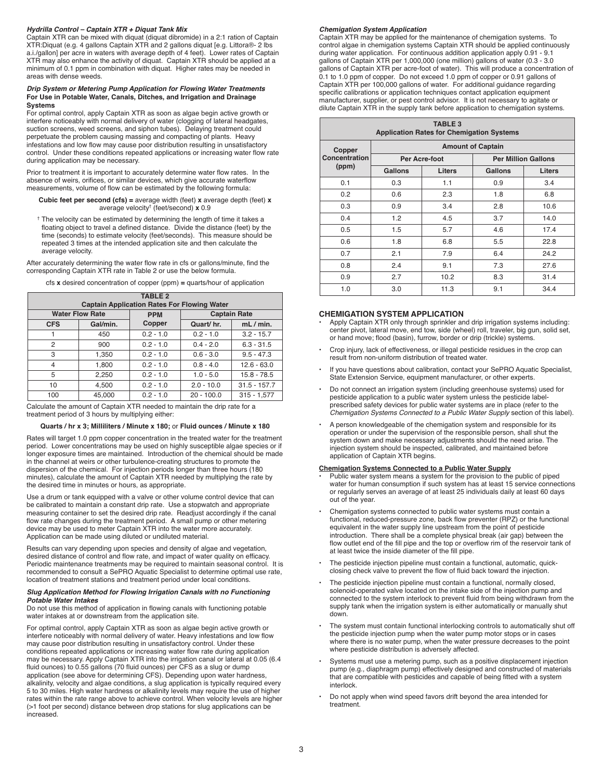#### *Hydrilla Control – Captain XTR + Diquat Tank Mix*

Captain XTR can be mixed with diquat (diquat dibromide) in a 2:1 ration of Captain XTR:Diquat (e.g. 4 gallons Captain XTR and 2 gallons diquat [e.g. Littora®- 2 lbs a.i./gallon] per acre in waters with average depth of 4 feet). Lower rates of Captain XTR may also enhance the activity of diquat. Captain XTR should be applied at a minimum of 0.1 ppm in combination with diquat. Higher rates may be needed in areas with dense weeds.

#### *Drip System or Metering Pump Application for Flowing Water Treatments* **For Use in Potable Water, Canals, Ditches, and Irrigation and Drainage Systems**

For optimal control, apply Captain XTR as soon as algae begin active growth or interfere noticeably with normal delivery of water (clogging of lateral headgates, suction screens, weed screens, and siphon tubes). Delaying treatment could perpetuate the problem causing massing and compacting of plants. Heavy infestations and low flow may cause poor distribution resulting in unsatisfactory control. Under these conditions repeated applications or increasing water flow rate during application may be necessary.

Prior to treatment it is important to accurately determine water flow rates. In the absence of weirs, orifices, or similar devices, which give accurate waterflow measurements, volume of flow can be estimated by the following formula:

**Cubic feet per second (cfs) =** average width (feet) **x** average depth (feet) **x** average velocity† (feet/second) **x** 0.9

† The velocity can be estimated by determining the length of time it takes a floating object to travel a defined distance. Divide the distance (feet) by the time (seconds) to estimate velocity (feet/seconds). This measure should be repeated 3 times at the intended application site and then calculate the average velocity.

After accurately determining the water flow rate in cfs or gallons/minute, find the corresponding Captain XTR rate in Table 2 or use the below formula.

cfs **x** desired concentration of copper (ppm) **=** quarts/hour of application

| <b>TABLE 2</b><br><b>Captain Application Rates For Flowing Water</b> |          |                                   |              |                |  |
|----------------------------------------------------------------------|----------|-----------------------------------|--------------|----------------|--|
| <b>Water Flow Rate</b>                                               |          | <b>Captain Rate</b><br><b>PPM</b> |              |                |  |
| <b>CFS</b>                                                           | Gal/min. | Copper                            | Quart/hr.    | mL/min.        |  |
|                                                                      | 450      | $0.2 - 1.0$                       | $0.2 - 1.0$  | $3.2 - 15.7$   |  |
| 2                                                                    | 900      | $0.2 - 1.0$                       | $0.4 - 2.0$  | $6.3 - 31.5$   |  |
| 3                                                                    | 1,350    | $0.2 - 1.0$                       | $0.6 - 3.0$  | $9.5 - 47.3$   |  |
| 4                                                                    | 1,800    | $0.2 - 1.0$                       | $0.8 - 4.0$  | $12.6 - 63.0$  |  |
| 5                                                                    | 2,250    | $0.2 - 1.0$                       | $1.0 - 5.0$  | $15.8 - 78.5$  |  |
| 10                                                                   | 4,500    | $0.2 - 1.0$                       | $2.0 - 10.0$ | $31.5 - 157.7$ |  |
| 100                                                                  | 45,000   | $0.2 - 1.0$                       | $20 - 100.0$ | $315 - 1,577$  |  |

Calculate the amount of Captain XTR needed to maintain the drip rate for a treatment period of 3 hours by multiplying either:

#### **Quarts / hr x 3; Milliliters / Minute x 180;** or **Fluid ounces / Minute x 180**

Rates will target 1.0 ppm copper concentration in the treated water for the treatment period. Lower concentrations may be used on highly susceptible algae species or if longer exposure times are maintained. Introduction of the chemical should be made in the channel at weirs or other turbulence-creating structures to promote the dispersion of the chemical. For injection periods longer than three hours (180 minutes), calculate the amount of Captain XTR needed by multiplying the rate by the desired time in minutes or hours, as appropriate.

Use a drum or tank equipped with a valve or other volume control device that can be calibrated to maintain a constant drip rate. Use a stopwatch and appropriate measuring container to set the desired drip rate. Readjust accordingly if the canal flow rate changes during the treatment period. A small pump or other metering device may be used to meter Captain XTR into the water more accurately. Application can be made using diluted or undiluted material.

Results can vary depending upon species and density of algae and vegetation, desired distance of control and flow rate, and impact of water quality on efficacy. Periodic maintenance treatments may be required to maintain seasonal control. It is recommended to consult a SePRO Aquatic Specialist to determine optimal use rate, location of treatment stations and treatment period under local conditions.

#### *Slug Application Method for Flowing Irrigation Canals with no Functioning Potable Water Intakes*

Do not use this method of application in flowing canals with functioning potable water intakes at or downstream from the application site.

For optimal control, apply Captain XTR as soon as algae begin active growth or interfere noticeably with normal delivery of water. Heavy infestations and low flow may cause poor distribution resulting in unsatisfactory control. Under these conditions repeated applications or increasing water flow rate during application may be necessary. Apply Captain XTR into the irrigation canal or lateral at 0.05 (6.4 fluid ounces) to 0.55 gallons (70 fluid ounces) per CFS as a slug or dump application (see above for determining CFS). Depending upon water hardness, alkalinity, velocity and algae conditions, a slug application is typically required every 5 to 30 miles. High water hardness or alkalinity levels may require the use of higher rates within the rate range above to achieve control. When velocity levels are higher (>1 foot per second) distance between drop stations for slug applications can be increased.

#### *Chemigation System Application*

Captain XTR may be applied for the maintenance of chemigation systems. To control algae in chemigation systems Captain XTR should be applied continuously during water application. For continuous addition application apply 0.91 - 9.1 gallons of Captain XTR per 1,000,000 (one million) gallons of water (0.3 - 3.0 gallons of Captain XTR per acre-foot of water). This will produce a concentration of 0.1 to 1.0 ppm of copper. Do not exceed 1.0 ppm of copper or 0.91 gallons of Captain XTR per 100,000 gallons of water. For additional guidance regarding specific calibrations or application techniques contact application equipment manufacturer, supplier, or pest control advisor. It is not necessary to agitate or dilute Captain XTR in the supply tank before application to chemigation systems.

| <b>TABLE 3</b><br><b>Application Rates for Chemigation Systems</b> |                          |        |                            |        |  |
|--------------------------------------------------------------------|--------------------------|--------|----------------------------|--------|--|
| Copper<br>Concentration<br>(ppm)                                   | <b>Amount of Captain</b> |        |                            |        |  |
|                                                                    | Per Acre-foot            |        | <b>Per Million Gallons</b> |        |  |
|                                                                    | <b>Gallons</b>           | Liters | Gallons                    | Liters |  |
| 0.1                                                                | 0.3                      | 1.1    | 0.9                        | 3.4    |  |
| 0.2                                                                | 0.6                      | 2.3    | 1.8                        | 6.8    |  |
| 0.3                                                                | 0.9                      | 3.4    | 2.8                        | 10.6   |  |
| 0.4                                                                | 1.2                      | 4.5    | 3.7                        | 14.0   |  |
| 0.5                                                                | 1.5                      | 5.7    | 4.6                        | 17.4   |  |
| 0.6                                                                | 1.8                      | 6.8    | 5.5                        | 22.8   |  |
| 0.7                                                                | 2.1                      | 7.9    | 6.4                        | 24.2   |  |
| 0.8                                                                | 2.4                      | 9.1    | 7.3                        | 27.6   |  |
| 0.9                                                                | 2.7                      | 10.2   | 8.3                        | 31.4   |  |
| 1.0                                                                | 3.0                      | 11.3   | 9.1                        | 34.4   |  |

#### **CHEMIGATION SYSTEM APPLICATION**

- Apply Captain XTR only through sprinkler and drip irrigation systems including: center pivot, lateral move, end tow, side (wheel) roll, traveler, big gun, solid set, or hand move; flood (basin), furrow, border or drip (trickle) systems.
- Crop injury, lack of effectiveness, or illegal pesticide residues in the crop can result from non-uniform distribution of treated water.
- If you have questions about calibration, contact your SePRO Aquatic Specialist, State Extension Service, equipment manufacturer, or other experts.
- Do not connect an irrigation system (including greenhouse systems) used for pesticide application to a public water system unless the pesticide labelprescribed safety devices for public water systems are in place (refer to the *Chemigation Systems Connected to a Public Water Supply* section of this label).
- A person knowledgeable of the chemigation system and responsible for its operation or under the supervision of the responsible person, shall shut the system down and make necessary adjustments should the need arise. The injection system should be inspected, calibrated, and maintained before application of Captain XTR begins.

#### **Chemigation Systems Connected to a Public Water Supply**

- Public water system means a system for the provision to the public of piped water for human consumption if such system has at least 15 service connections or regularly serves an average of at least 25 individuals daily at least 60 days out of the year.
- Chemigation systems connected to public water systems must contain a functional, reduced-pressure zone, back flow preventer (RPZ) or the functional equivalent in the water supply line upstream from the point of pesticide introduction. There shall be a complete physical break (air gap) between the flow outlet end of the fill pipe and the top or overflow rim of the reservoir tank of at least twice the inside diameter of the fill pipe.
- The pesticide injection pipeline must contain a functional, automatic, quickclosing check valve to prevent the flow of fluid back toward the injection.
- The pesticide injection pipeline must contain a functional, normally closed, solenoid-operated valve located on the intake side of the injection pump and connected to the system interlock to prevent fluid from being withdrawn from the supply tank when the irrigation system is either automatically or manually shut down.
- The system must contain functional interlocking controls to automatically shut off the pesticide injection pump when the water pump motor stops or in cases where there is no water pump, when the water pressure decreases to the point where pesticide distribution is adversely affected.
- Systems must use a metering pump, such as a positive displacement injection pump (e.g., diaphragm pump) effectively designed and constructed of materials that are compatible with pesticides and capable of being fitted with a system interlock.
- Do not apply when wind speed favors drift beyond the area intended for treatment.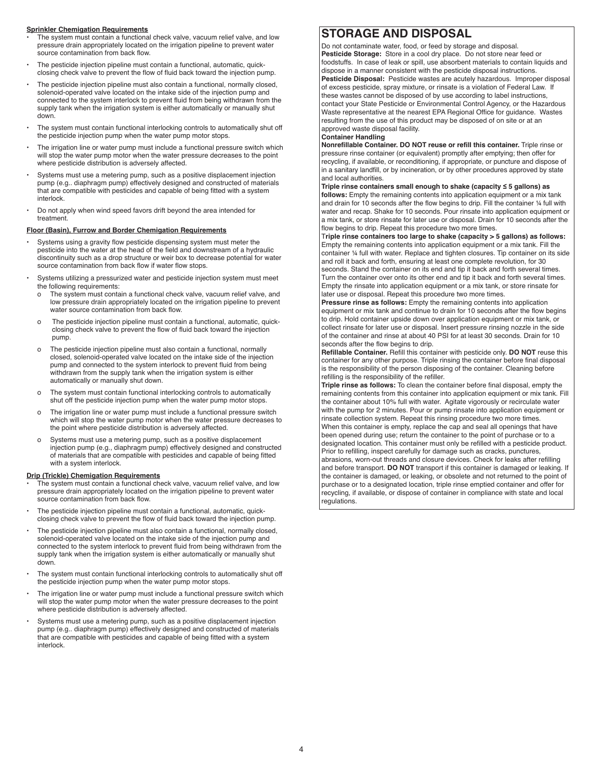## **Sprinkler Chemigation Requirements**

- The system must contain a functional check valve, vacuum relief valve, and low pressure drain appropriately located on the irrigation pipeline to prevent water source contamination from back flow.
- The pesticide injection pipeline must contain a functional, automatic, quickclosing check valve to prevent the flow of fluid back toward the injection pump.
- The pesticide injection pipeline must also contain a functional, normally closed, solenoid-operated valve located on the intake side of the injection pump and connected to the system interlock to prevent fluid from being withdrawn from the supply tank when the irrigation system is either automatically or manually shut down.
- The system must contain functional interlocking controls to automatically shut off the pesticide injection pump when the water pump motor stops.
- The irrigation line or water pump must include a functional pressure switch which will stop the water pump motor when the water pressure decreases to the point where pesticide distribution is adversely affected.
- Systems must use a metering pump, such as a positive displacement injection pump (e.g.. diaphragm pump) effectively designed and constructed of materials that are compatible with pesticides and capable of being fitted with a system interlock.
- Do not apply when wind speed favors drift beyond the area intended for treatment.

## **Floor (Basin), Furrow and Border Chemigation Requirements**

- Systems using a gravity flow pesticide dispensing system must meter the pesticide into the water at the head of the field and downstream of a hydraulic discontinuity such as a drop structure or weir box to decrease potential for water source contamination from back flow if water flow stops.
- Systems utilizing a pressurized water and pesticide injection system must meet the following requirements:
	- o The system must contain a functional check valve, vacuum relief valve, and low pressure drain appropriately located on the irrigation pipeline to prevent water source contamination from back flow.
	- o The pesticide injection pipeline must contain a functional, automatic, quickclosing check valve to prevent the flow of fluid back toward the injection pump.
	- o The pesticide injection pipeline must also contain a functional, normally closed, solenoid-operated valve located on the intake side of the injection pump and connected to the system interlock to prevent fluid from being withdrawn from the supply tank when the irrigation system is either automatically or manually shut down.
	- o The system must contain functional interlocking controls to automatically shut off the pesticide injection pump when the water pump motor stops.
	- o The irrigation line or water pump must include a functional pressure switch which will stop the water pump motor when the water pressure decreases to the point where pesticide distribution is adversely affected.
	- o Systems must use a metering pump, such as a positive displacement injection pump (e.g., diaphragm pump) effectively designed and constructed of materials that are compatible with pesticides and capable of being fitted with a system interlock.

#### **Drip (Trickle) Chemigation Requirements**

- The system must contain a functional check valve, vacuum relief valve, and low pressure drain appropriately located on the irrigation pipeline to prevent water source contamination from back flow.
- The pesticide injection pipeline must contain a functional, automatic, quickclosing check valve to prevent the flow of fluid back toward the injection pump.
- The pesticide injection pipeline must also contain a functional, normally closed, solenoid-operated valve located on the intake side of the injection pump and connected to the system interlock to prevent fluid from being withdrawn from the supply tank when the irrigation system is either automatically or manually shut down.
- The system must contain functional interlocking controls to automatically shut off the pesticide injection pump when the water pump motor stops.
- The irrigation line or water pump must include a functional pressure switch which will stop the water pump motor when the water pressure decreases to the point where pesticide distribution is adversely affected.
- Systems must use a metering pump, such as a positive displacement injection pump (e.g.. diaphragm pump) effectively designed and constructed of materials that are compatible with pesticides and capable of being fitted with a system interlock.

# **STORAGE AND DISPOSAL**

Do not contaminate water, food, or feed by storage and disposal. **Pesticide Storage:** Store in a cool dry place. Do not store near feed or foodstuffs. In case of leak or spill, use absorbent materials to contain liquids and dispose in a manner consistent with the pesticide disposal instructions. **Pesticide Disposal:** Pesticide wastes are acutely hazardous. Improper disposal of excess pesticide, spray mixture, or rinsate is a violation of Federal Law. If these wastes cannot be disposed of by use according to label instructions, contact your State Pesticide or Environmental Control Agency, or the Hazardous Waste representative at the nearest EPA Regional Office for guidance. Wastes resulting from the use of this product may be disposed of on site or at an approved waste disposal facility.

## **Container Handling**

**Nonrefillable Container. DO NOT reuse or refill this container.** Triple rinse or pressure rinse container (or equivalent) promptly after emptying; then offer for recycling, if available, or reconditioning, if appropriate, or puncture and dispose of in a sanitary landfill, or by incineration, or by other procedures approved by state and local authorities.

#### **Triple rinse containers small enough to shake (capacity ≤ 5 gallons) as follows:** Empty the remaining contents into application equipment or a mix tank and drain for 10 seconds after the flow begins to drip. Fill the container ¼ full with water and recap. Shake for 10 seconds. Pour rinsate into application equipment or a mix tank, or store rinsate for later use or disposal. Drain for 10 seconds after the flow begins to drip. Repeat this procedure two more times

T**riple rinse containers too large to shake (capacity > 5 gallons) as follows:** Empty the remaining contents into application equipment or a mix tank. Fill the container ¼ full with water. Replace and tighten closures. Tip container on its side and roll it back and forth, ensuring at least one complete revolution, for 30 seconds. Stand the container on its end and tip it back and forth several times. Turn the container over onto its other end and tip it back and forth several times. Empty the rinsate into application equipment or a mix tank, or store rinsate for later use or disposal. Repeat this procedure two more times.

**Pressure rinse as follows:** Empty the remaining contents into application equipment or mix tank and continue to drain for 10 seconds after the flow begins to drip. Hold container upside down over application equipment or mix tank, or collect rinsate for later use or disposal. Insert pressure rinsing nozzle in the side of the container and rinse at about 40 PSI for at least 30 seconds. Drain for 10 seconds after the flow begins to drip.

**Refillable Container.** Refill this container with pesticide only. **DO NOT** reuse this container for any other purpose. Triple rinsing the container before final disposal is the responsibility of the person disposing of the container. Cleaning before refilling is the responsibility of the refiller.

**Triple rinse as follows:** To clean the container before final disposal, empty the remaining contents from this container into application equipment or mix tank. Fill the container about 10% full with water. Agitate vigorously or recirculate water with the pump for 2 minutes. Pour or pump rinsate into application equipment or rinsate collection system. Repeat this rinsing procedure two more times. When this container is empty, replace the cap and seal all openings that have been opened during use; return the container to the point of purchase or to a designated location. This container must only be refilled with a pesticide product. Prior to refilling, inspect carefully for damage such as cracks, punctures, abrasions, worn-out threads and closure devices. Check for leaks after refilling and before transport. **DO NOT** transport if this container is damaged or leaking. If the container is damaged, or leaking, or obsolete and not returned to the point of purchase or to a designated location, triple rinse emptied container and offer for recycling, if available, or dispose of container in compliance with state and local regulations.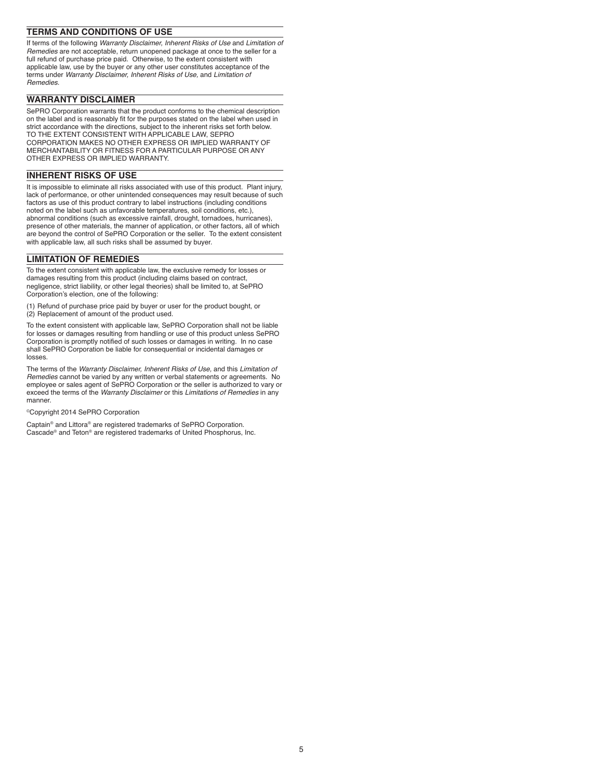# **TERMS AND CONDITIONS OF USE**

If terms of the following *Warranty Disclaimer, Inherent Risks of Use* and *Limitation of Remedies* are not acceptable, return unopened package at once to the seller for a full refund of purchase price paid. Otherwise, to the extent consistent with applicable law, use by the buyer or any other user constitutes acceptance of the terms under *Warranty Disclaimer, Inherent Risks of Use,* and *Limitation of Remedies*.

# **WARRANTY DISCLAIMER**

SePRO Corporation warrants that the product conforms to the chemical description on the label and is reasonably fit for the purposes stated on the label when used in strict accordance with the directions, subject to the inherent risks set forth below. TO THE EXTENT CONSISTENT WITH APPLICABLE LAW, SEPRO CORPORATION MAKES NO OTHER EXPRESS OR IMPLIED WARRANTY OF MERCHANTABILITY OR FITNESS FOR A PARTICULAR PURPOSE OR ANY OTHER EXPRESS OR IMPLIED WARRANTY.

# **INHERENT RISKS OF USE**

It is impossible to eliminate all risks associated with use of this product. Plant injury, lack of performance, or other unintended consequences may result because of such factors as use of this product contrary to label instructions (including conditions noted on the label such as unfavorable temperatures, soil conditions, etc.), abnormal conditions (such as excessive rainfall, drought, tornadoes, hurricanes), presence of other materials, the manner of application, or other factors, all of which are beyond the control of SePRO Corporation or the seller. To the extent consistent with applicable law, all such risks shall be assumed by buyer.

# **LIMITATION OF REMEDIES**

To the extent consistent with applicable law, the exclusive remedy for losses or damages resulting from this product (including claims based on contract, negligence, strict liability, or other legal theories) shall be limited to, at SePRO Corporation's election, one of the following:

(1) Refund of purchase price paid by buyer or user for the product bought, or

(2) Replacement of amount of the product used.

To the extent consistent with applicable law, SePRO Corporation shall not be liable for losses or damages resulting from handling or use of this product unless SePRO Corporation is promptly notified of such losses or damages in writing. In no case shall SePRO Corporation be liable for consequential or incidental damages or losses.

The terms of the *Warranty Disclaimer, Inherent Risks of Use,* and this *Limitation of Remedies* cannot be varied by any written or verbal statements or agreements. No employee or sales agent of SePRO Corporation or the seller is authorized to vary or exceed the terms of the *Warranty Disclaimer* or this *Limitations of Remedies* in any manner.

©Copyright 2014 SePRO Corporation

Captain® and Littora® are registered trademarks of SePRO Corporation. Cascade® and Teton® are registered trademarks of United Phosphorus, Inc.